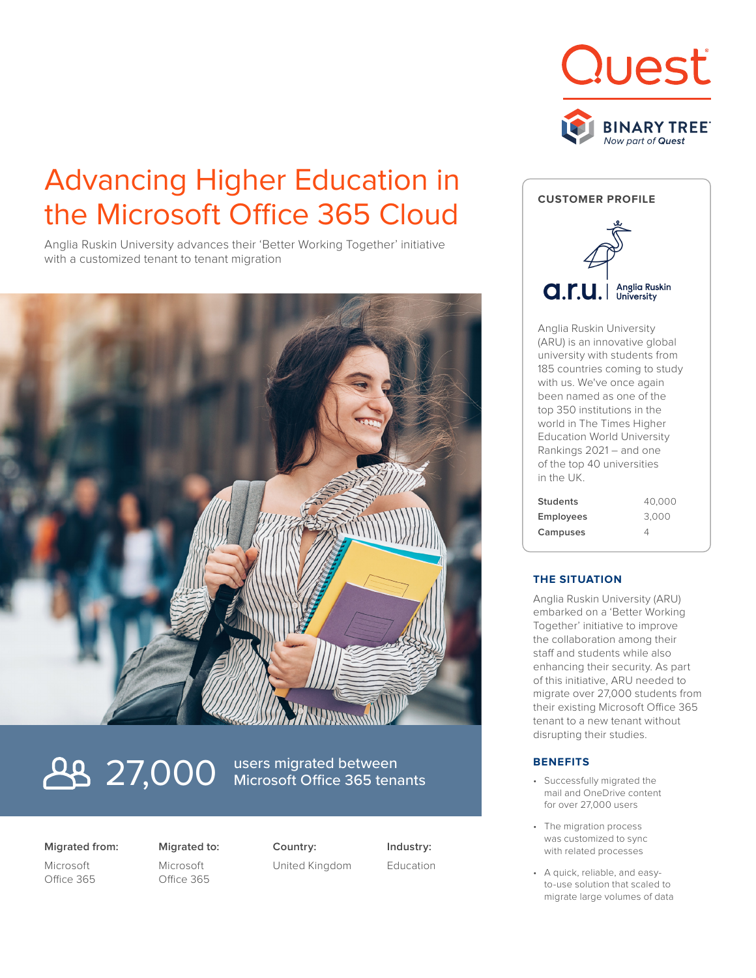

# Advancing Higher Education in the Microsoft Office 365 Cloud

Anglia Ruskin University advances their 'Better Working Together' initiative with a customized tenant to tenant migration



# **27,000** users migrated between

Microsoft Office 365 tenants

## **Migrated from:**

Microsoft Office 365 **Migrated to:** Microsoft Office 365

**Country:** United Kingdom **Industry:** Education



Anglia Ruskin University (ARU) is an innovative global university with students from 185 countries coming to study with us. We've once again been named as one of the top 350 institutions in the world in The Times Higher Education World University Rankings 2021 – and one of the top 40 universities in the UK.

| <b>Students</b>  | 40,000 |
|------------------|--------|
| <b>Employees</b> | 3.000  |
| Campuses         | Δ      |

# **THE SITUATION**

Anglia Ruskin University (ARU) embarked on a 'Better Working Together' initiative to improve the collaboration among their staff and students while also enhancing their security. As part of this initiative, ARU needed to migrate over 27,000 students from their existing Microsoft Office 365 tenant to a new tenant without disrupting their studies.

## **BENEFITS**

- Successfully migrated the mail and OneDrive content for over 27,000 users
- The migration process was customized to sync with related processes
- A quick, reliable, and easyto-use solution that scaled to migrate large volumes of data